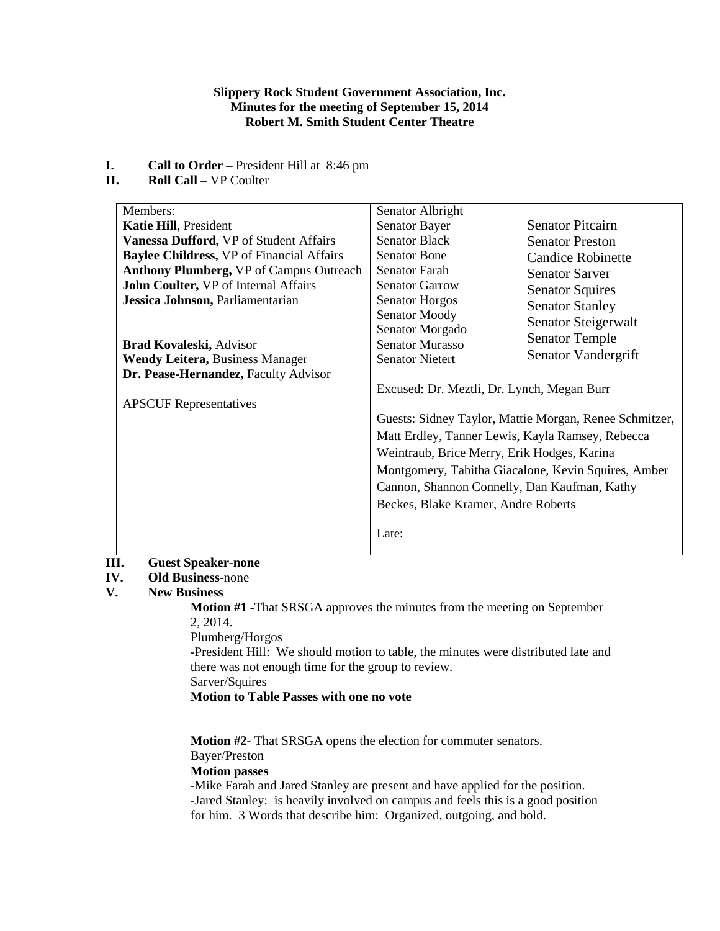#### **Slippery Rock Student Government Association, Inc. Minutes for the meeting of September 15, 2014 Robert M. Smith Student Center Theatre**

- **I. Call to Order** President Hill at 8:46 pm<br>**II. Roll Call** VP Coulter
- **Roll Call –** VP Coulter

| Members:                                         | Senator Albright                                       |                          |
|--------------------------------------------------|--------------------------------------------------------|--------------------------|
| <b>Katie Hill, President</b>                     | Senator Bayer                                          | <b>Senator Pitcairn</b>  |
| Vanessa Dufford, VP of Student Affairs           | <b>Senator Black</b>                                   | <b>Senator Preston</b>   |
| <b>Baylee Childress, VP of Financial Affairs</b> | <b>Senator Bone</b>                                    | <b>Candice Robinette</b> |
| <b>Anthony Plumberg, VP of Campus Outreach</b>   | Senator Farah                                          | <b>Senator Sarver</b>    |
| John Coulter, VP of Internal Affairs             | <b>Senator Garrow</b>                                  | <b>Senator Squires</b>   |
| Jessica Johnson, Parliamentarian                 | <b>Senator Horgos</b>                                  | <b>Senator Stanley</b>   |
|                                                  | Senator Moody                                          | Senator Steigerwalt      |
|                                                  | Senator Morgado                                        |                          |
| <b>Brad Kovaleski, Advisor</b>                   | <b>Senator Murasso</b>                                 | <b>Senator Temple</b>    |
| <b>Wendy Leitera, Business Manager</b>           | <b>Senator Nietert</b>                                 | Senator Vandergrift      |
| Dr. Pease-Hernandez, Faculty Advisor             |                                                        |                          |
|                                                  | Excused: Dr. Meztli, Dr. Lynch, Megan Burr             |                          |
| <b>APSCUF</b> Representatives                    |                                                        |                          |
|                                                  | Guests: Sidney Taylor, Mattie Morgan, Renee Schmitzer, |                          |
|                                                  | Matt Erdley, Tanner Lewis, Kayla Ramsey, Rebecca       |                          |
|                                                  | Weintraub, Brice Merry, Erik Hodges, Karina            |                          |
|                                                  | Montgomery, Tabitha Giacalone, Kevin Squires, Amber    |                          |
|                                                  | Cannon, Shannon Connelly, Dan Kaufman, Kathy           |                          |
|                                                  | Beckes, Blake Kramer, Andre Roberts                    |                          |
|                                                  | Late:                                                  |                          |

# **III. Guest Speaker-none**

## **IV. Old Business**-none

### **V. New Business**

**Motion #1 -**That SRSGA approves the minutes from the meeting on September 2, 2014. Plumberg/Horgos

-President Hill: We should motion to table, the minutes were distributed late and there was not enough time for the group to review. Sarver/Squires

**Motion to Table Passes with one no vote**

**Motion #2-** That SRSGA opens the election for commuter senators. Bayer/Preston

### **Motion passes**

-Mike Farah and Jared Stanley are present and have applied for the position. -Jared Stanley: is heavily involved on campus and feels this is a good position for him. 3 Words that describe him: Organized, outgoing, and bold.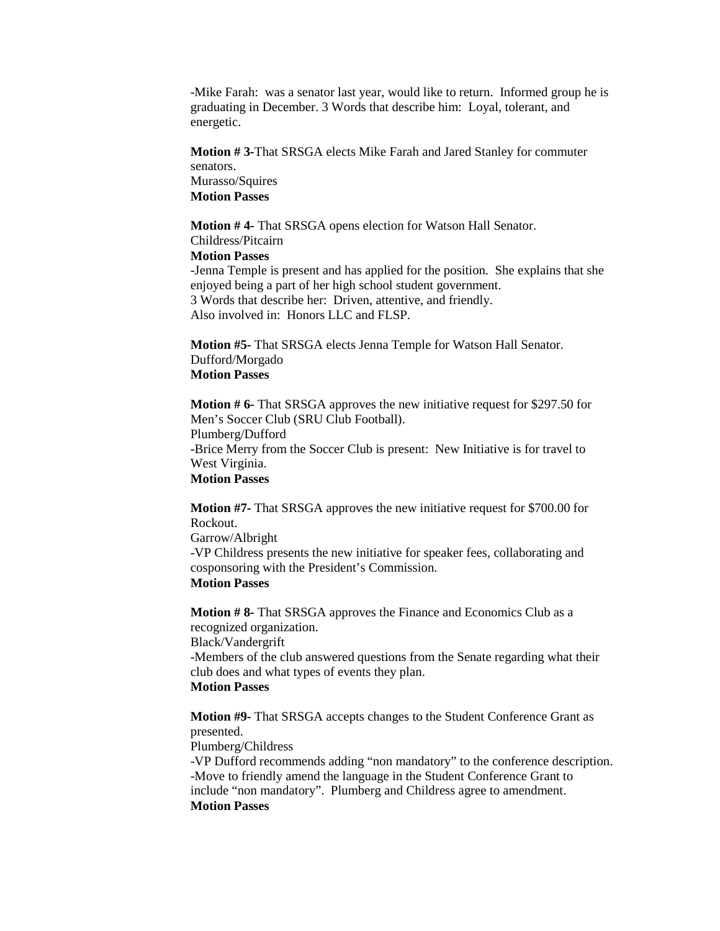-Mike Farah: was a senator last year, would like to return. Informed group he is graduating in December. 3 Words that describe him: Loyal, tolerant, and energetic.

**Motion # 3-**That SRSGA elects Mike Farah and Jared Stanley for commuter senators. Murasso/Squires **Motion Passes**

**Motion # 4-** That SRSGA opens election for Watson Hall Senator. Childress/Pitcairn

**Motion Passes**

-Jenna Temple is present and has applied for the position. She explains that she enjoyed being a part of her high school student government. 3 Words that describe her: Driven, attentive, and friendly. Also involved in: Honors LLC and FLSP.

**Motion #5-** That SRSGA elects Jenna Temple for Watson Hall Senator. Dufford/Morgado **Motion Passes**

**Motion # 6-** That SRSGA approves the new initiative request for \$297.50 for Men's Soccer Club (SRU Club Football). Plumberg/Dufford -Brice Merry from the Soccer Club is present: New Initiative is for travel to West Virginia. **Motion Passes**

**Motion #7-** That SRSGA approves the new initiative request for \$700.00 for Rockout. Garrow/Albright -VP Childress presents the new initiative for speaker fees, collaborating and cosponsoring with the President's Commission. **Motion Passes**

**Motion # 8-** That SRSGA approves the Finance and Economics Club as a recognized organization. Black/Vandergrift

-Members of the club answered questions from the Senate regarding what their club does and what types of events they plan.

# **Motion Passes**

**Motion #9-** That SRSGA accepts changes to the Student Conference Grant as presented.

Plumberg/Childress

-VP Dufford recommends adding "non mandatory" to the conference description. -Move to friendly amend the language in the Student Conference Grant to include "non mandatory". Plumberg and Childress agree to amendment. **Motion Passes**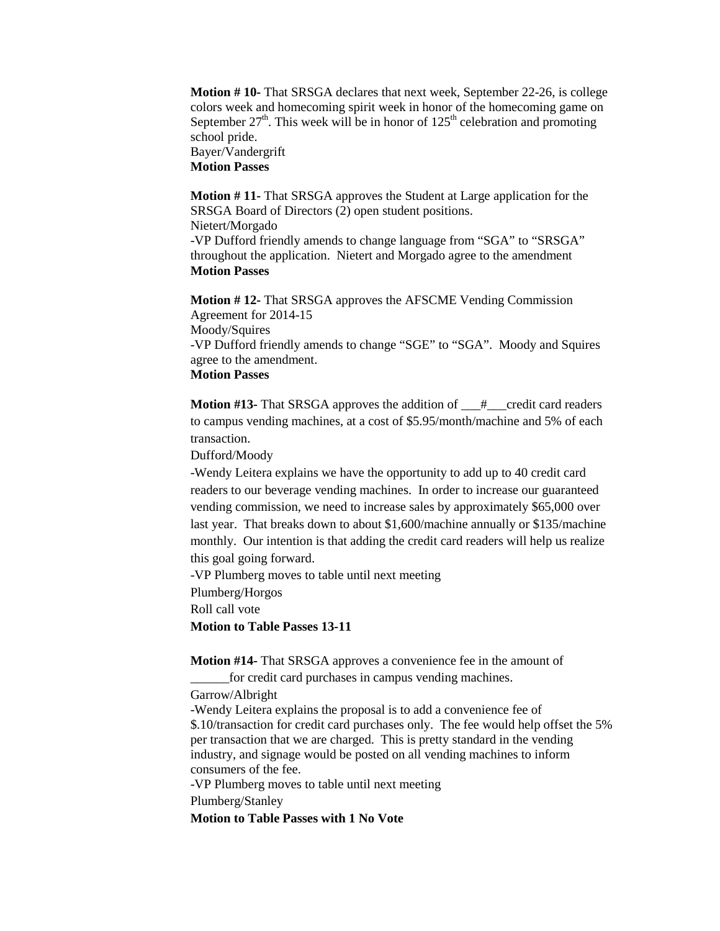**Motion # 10-** That SRSGA declares that next week, September 22-26, is college colors week and homecoming spirit week in honor of the homecoming game on September  $27<sup>th</sup>$ . This week will be in honor of  $125<sup>th</sup>$  celebration and promoting school pride. Bayer/Vandergrift

**Motion Passes**

**Motion # 11-** That SRSGA approves the Student at Large application for the SRSGA Board of Directors (2) open student positions. Nietert/Morgado -VP Dufford friendly amends to change language from "SGA" to "SRSGA" throughout the application. Nietert and Morgado agree to the amendment **Motion Passes**

**Motion # 12-** That SRSGA approves the AFSCME Vending Commission Agreement for 2014-15 Moody/Squires -VP Dufford friendly amends to change "SGE" to "SGA". Moody and Squires agree to the amendment. **Motion Passes**

**Motion #13-** That SRSGA approves the addition of  $#$  credit card readers to campus vending machines, at a cost of \$5.95/month/machine and 5% of each transaction.

Dufford/Moody

-Wendy Leitera explains we have the opportunity to add up to 40 credit card readers to our beverage vending machines. In order to increase our guaranteed vending commission, we need to increase sales by approximately \$65,000 over last year. That breaks down to about \$1,600/machine annually or \$135/machine monthly. Our intention is that adding the credit card readers will help us realize this goal going forward.

-VP Plumberg moves to table until next meeting

Plumberg/Horgos

Roll call vote

**Motion to Table Passes 13-11**

**Motion #14-** That SRSGA approves a convenience fee in the amount of

\_\_\_\_\_\_for credit card purchases in campus vending machines.

Garrow/Albright

-Wendy Leitera explains the proposal is to add a convenience fee of \$.10/transaction for credit card purchases only. The fee would help offset the 5% per transaction that we are charged. This is pretty standard in the vending industry, and signage would be posted on all vending machines to inform consumers of the fee.

-VP Plumberg moves to table until next meeting

Plumberg/Stanley

**Motion to Table Passes with 1 No Vote**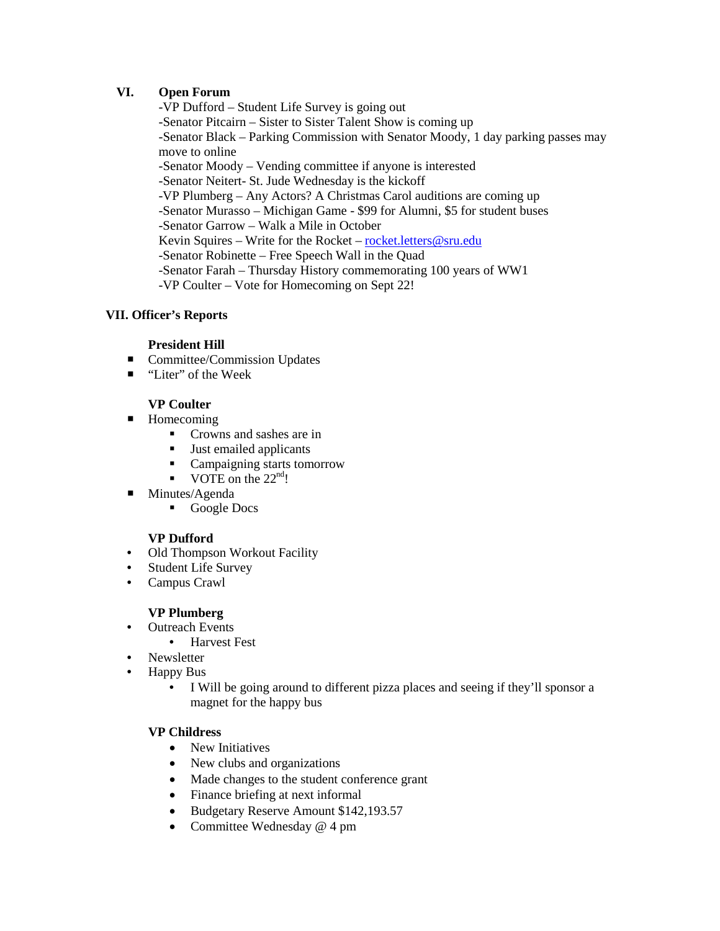### **VI. Open Forum**

-VP Dufford – Student Life Survey is going out -Senator Pitcairn – Sister to Sister Talent Show is coming up -Senator Black – Parking Commission with Senator Moody, 1 day parking passes may move to online -Senator Moody – Vending committee if anyone is interested -Senator Neitert- St. Jude Wednesday is the kickoff -VP Plumberg – Any Actors? A Christmas Carol auditions are coming up -Senator Murasso – Michigan Game - \$99 for Alumni, \$5 for student buses -Senator Garrow – Walk a Mile in October Kevin Squires – Write for the Rocket – [rocket.letters@sru.edu](mailto:rocket.letters@sru.edu) -Senator Robinette – Free Speech Wall in the Quad -Senator Farah – Thursday History commemorating 100 years of WW1 -VP Coulter – Vote for Homecoming on Sept 22!

### **VII. Officer's Reports**

### **President Hill**

- **Committee/Commission Updates**
- "Liter" of the Week

### **VP Coulter**

- Homecoming
	- **Crowns and sashes are in**
	- **Just emailed applicants**
	- Campaigning starts tomorrow
	- VOTE on the  $22<sup>nd</sup>!$
- Minutes/Agenda
	- Google Docs

### **VP Dufford**

- Old Thompson Workout Facility
- Student Life Survey
- Campus Crawl

### **VP Plumberg**

- Outreach Events
	- Harvest Fest
- Newsletter
- Happy Bus
	- I Will be going around to different pizza places and seeing if they'll sponsor a magnet for the happy bus

### **VP Childress**

- New Initiatives
- New clubs and organizations
- Made changes to the student conference grant
- Finance briefing at next informal
- Budgetary Reserve Amount \$142,193.57
- Committee Wednesday @ 4 pm